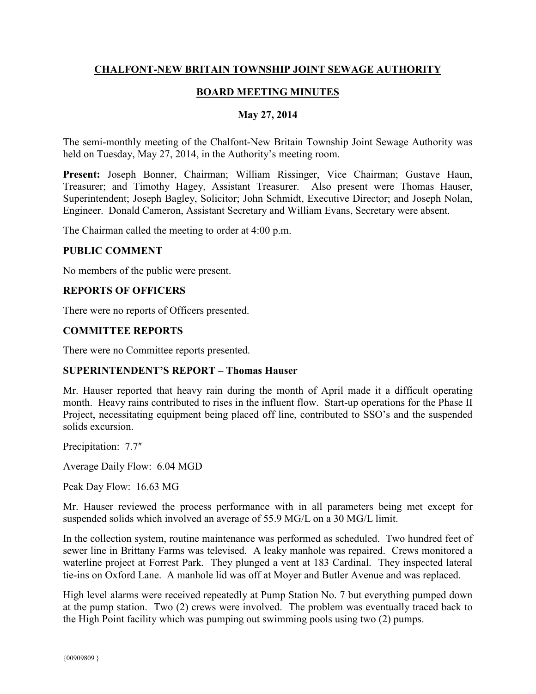## **CHALFONT-NEW BRITAIN TOWNSHIP JOINT SEWAGE AUTHORITY**

## **BOARD MEETING MINUTES**

### **May 27, 2014**

The semi-monthly meeting of the Chalfont-New Britain Township Joint Sewage Authority was held on Tuesday, May 27, 2014, in the Authority's meeting room.

**Present:** Joseph Bonner, Chairman; William Rissinger, Vice Chairman; Gustave Haun, Treasurer; and Timothy Hagey, Assistant Treasurer. Also present were Thomas Hauser, Superintendent; Joseph Bagley, Solicitor; John Schmidt, Executive Director; and Joseph Nolan, Engineer. Donald Cameron, Assistant Secretary and William Evans, Secretary were absent.

The Chairman called the meeting to order at 4:00 p.m.

#### **PUBLIC COMMENT**

No members of the public were present.

### **REPORTS OF OFFICERS**

There were no reports of Officers presented.

### **COMMITTEE REPORTS**

There were no Committee reports presented.

#### **SUPERINTENDENT'S REPORT – Thomas Hauser**

Mr. Hauser reported that heavy rain during the month of April made it a difficult operating month. Heavy rains contributed to rises in the influent flow. Start-up operations for the Phase II Project, necessitating equipment being placed off line, contributed to SSO's and the suspended solids excursion.

Precipitation: 7.7"

Average Daily Flow: 6.04 MGD

Peak Day Flow: 16.63 MG

Mr. Hauser reviewed the process performance with in all parameters being met except for suspended solids which involved an average of 55.9 MG/L on a 30 MG/L limit.

In the collection system, routine maintenance was performed as scheduled. Two hundred feet of sewer line in Brittany Farms was televised. A leaky manhole was repaired. Crews monitored a waterline project at Forrest Park. They plunged a vent at 183 Cardinal. They inspected lateral tie-ins on Oxford Lane. A manhole lid was off at Moyer and Butler Avenue and was replaced.

High level alarms were received repeatedly at Pump Station No. 7 but everything pumped down at the pump station. Two (2) crews were involved. The problem was eventually traced back to the High Point facility which was pumping out swimming pools using two (2) pumps.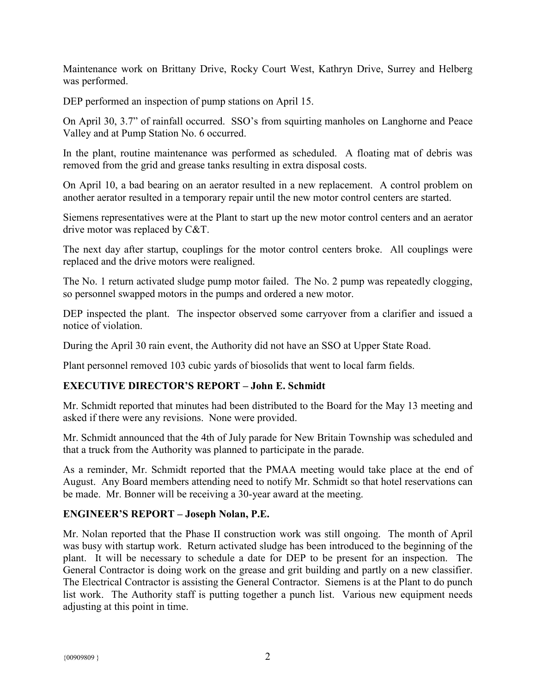Maintenance work on Brittany Drive, Rocky Court West, Kathryn Drive, Surrey and Helberg was performed.

DEP performed an inspection of pump stations on April 15.

On April 30, 3.7" of rainfall occurred. SSO's from squirting manholes on Langhorne and Peace Valley and at Pump Station No. 6 occurred.

In the plant, routine maintenance was performed as scheduled. A floating mat of debris was removed from the grid and grease tanks resulting in extra disposal costs.

On April 10, a bad bearing on an aerator resulted in a new replacement. A control problem on another aerator resulted in a temporary repair until the new motor control centers are started.

Siemens representatives were at the Plant to start up the new motor control centers and an aerator drive motor was replaced by C&T.

The next day after startup, couplings for the motor control centers broke. All couplings were replaced and the drive motors were realigned.

The No. 1 return activated sludge pump motor failed. The No. 2 pump was repeatedly clogging, so personnel swapped motors in the pumps and ordered a new motor.

DEP inspected the plant. The inspector observed some carryover from a clarifier and issued a notice of violation.

During the April 30 rain event, the Authority did not have an SSO at Upper State Road.

Plant personnel removed 103 cubic yards of biosolids that went to local farm fields.

# **EXECUTIVE DIRECTOR'S REPORT – John E. Schmidt**

Mr. Schmidt reported that minutes had been distributed to the Board for the May 13 meeting and asked if there were any revisions. None were provided.

Mr. Schmidt announced that the 4th of July parade for New Britain Township was scheduled and that a truck from the Authority was planned to participate in the parade.

As a reminder, Mr. Schmidt reported that the PMAA meeting would take place at the end of August. Any Board members attending need to notify Mr. Schmidt so that hotel reservations can be made. Mr. Bonner will be receiving a 30-year award at the meeting.

# **ENGINEER'S REPORT – Joseph Nolan, P.E.**

Mr. Nolan reported that the Phase II construction work was still ongoing. The month of April was busy with startup work. Return activated sludge has been introduced to the beginning of the plant. It will be necessary to schedule a date for DEP to be present for an inspection. The General Contractor is doing work on the grease and grit building and partly on a new classifier. The Electrical Contractor is assisting the General Contractor. Siemens is at the Plant to do punch list work. The Authority staff is putting together a punch list. Various new equipment needs adjusting at this point in time.